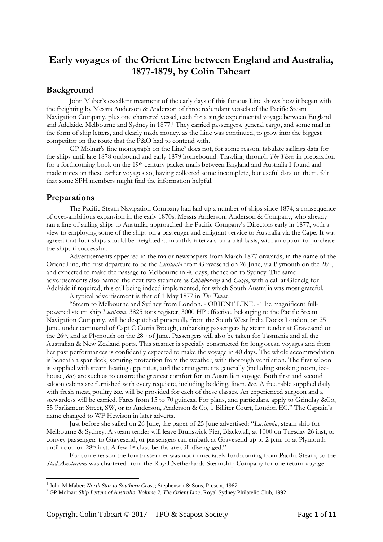# **Early voyages of the Orient Line between England and Australia, 1877-1879, by Colin Tabeart**

## **Background**

John Maber's excellent treatment of the early days of this famous Line shows how it began with the freighting by Messrs Anderson & Anderson of three redundant vessels of the Pacific Steam Navigation Company, plus one chartered vessel, each for a single experimental voyage between England and Adelaide, Melbourne and Sydney in 1877.<sup>1</sup> They carried passengers, general cargo, and some mail in the form of ship letters, and clearly made money, as the Line was continued, to grow into the biggest competitor on the route that the P&O had to contend with.

GP Molnar's fine monograph on the Line<sup>2</sup> does not, for some reason, tabulate sailings data for the ships until late 1878 outbound and early 1879 homebound. Trawling through *The Times* in preparation for a forthcoming book on the 19th century packet mails between England and Australia I found and made notes on these earlier voyages so, having collected some incomplete, but useful data on them, felt that some SPH members might find the information helpful.

## **Preparations**

1

The Pacific Steam Navigation Company had laid up a number of ships since 1874, a consequence of over-ambitious expansion in the early 1870s. Messrs Anderson, Anderson & Company, who already ran a line of sailing ships to Australia, approached the Pacific Company's Directors early in 1877, with a view to employing some of the ships on a passenger and emigrant service to Australia via the Cape. It was agreed that four ships should be freighted at monthly intervals on a trial basis, with an option to purchase the ships if successful.

Advertisements appeared in the major newspapers from March 1877 onwards, in the name of the Orient Line, the first departure to be the *Lusitania* from Gravesend on 26 June, via Plymouth on the 28th, and expected to make the passage to Melbourne in 40 days, thence on to Sydney. The same advertisements also named the next two steamers as *Chimborazo* and *Cuzco*, with a call at Glenelg for Adelaide if required, this call being indeed implemented, for which South Australia was most grateful.

A typical advertisement is that of 1 May 1877 in *The Times*:

"Steam to Melbourne and Sydney from London. - ORIENT LINE. - The magnificent fullpowered steam ship *Lusitania*, 3825 tons register, 3000 HP effective, belonging to the Pacific Steam Navigation Company, will be despatched punctually from the South West India Docks London, on 25 June, under command of Capt C Curtis Brough, embarking passengers by steam tender at Gravesend on the 26th, and at Plymouth on the 28th of June. Passengers will also be taken for Tasmania and all the Australian & New Zealand ports. This steamer is specially constructed for long ocean voyages and from her past performances is confidently expected to make the voyage in 40 days. The whole accommodation is beneath a spar deck, securing protection from the weather, with thorough ventilation. The first saloon is supplied with steam heating apparatus, and the arrangements generally (including smoking room, icehouse, &c) are such as to ensure the greatest comfort for an Australian voyage. Both first and second saloon cabins are furnished with every requisite, including bedding, linen, &c. A free table supplied daily with fresh meat, poultry &c, will be provided for each of these classes. An experienced surgeon and a stewardess will be carried. Fares from 15 to 70 guineas. For plans, and particulars, apply to Grindlay &Co, 55 Parliament Street, SW, or to Anderson, Anderson & Co, 1 Billiter Court, London EC." The Captain's name changed to WF Hewison in later adverts.

Just before she sailed on 26 June, the paper of 25 June advertised: "*Lusitania*, steam ship for Melbourne & Sydney. A steam tender will leave Brunswick Pier, Blackwall, at 1000 on Tuesday 26 inst, to convey passengers to Gravesend, or passengers can embark at Gravesend up to 2 p.m. or at Plymouth until noon on 28<sup>th</sup> inst. A few 1<sup>st</sup> class berths are still disengaged."

For some reason the fourth steamer was not immediately forthcoming from Pacific Steam, so the *Stad Amsterdam* was chartered from the Royal Netherlands Steamship Company for one return voyage.

<sup>&</sup>lt;sup>1</sup> John M Maber: *North Star to Southern Cross*; Stephenson & Sons, Prescot, 1967

<sup>2</sup> GP Molnar: *Ship Letters of Australia, Volume 2, The Orient Line*; Royal Sydney Philatelic Club, 1992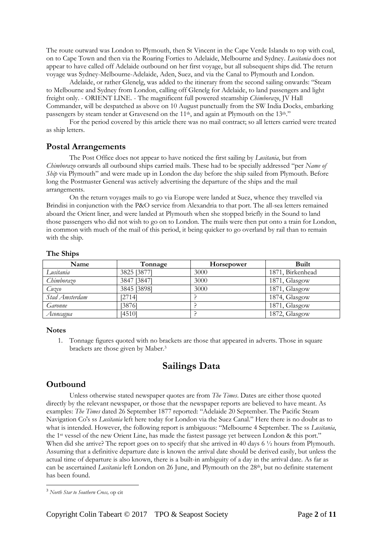The route outward was London to Plymouth, then St Vincent in the Cape Verde Islands to top with coal, on to Cape Town and then via the Roaring Forties to Adelaide, Melbourne and Sydney. *Lusitania* does not appear to have called off Adelaide outbound on her first voyage, but all subsequent ships did. The return voyage was Sydney-Melbourne-Adelaide, Aden, Suez, and via the Canal to Plymouth and London.

Adelaide, or rather Glenelg, was added to the itinerary from the second sailing onwards: "Steam to Melbourne and Sydney from London, calling off Glenelg for Adelaide, to land passengers and light freight only. - ORIENT LINE. - The magnificent full powered steamship *Chimborazo*, JV Hall Commander, will be despatched as above on 10 August punctually from the SW India Docks, embarking passengers by steam tender at Gravesend on the 11<sup>th</sup>, and again at Plymouth on the 13<sup>th</sup>."

For the period covered by this article there was no mail contract; so all letters carried were treated as ship letters.

## **Postal Arrangements**

The Post Office does not appear to have noticed the first sailing by *Lusitania*, but from *Chimborazo* onwards all outbound ships carried mails. These had to be specially addressed "per *Name of Ship* via Plymouth" and were made up in London the day before the ship sailed from Plymouth. Before long the Postmaster General was actively advertising the departure of the ships and the mail arrangements.

On the return voyages mails to go via Europe were landed at Suez, whence they travelled via Brindisi in conjunction with the P&O service from Alexandria to that port. The all-sea letters remained aboard the Orient liner, and were landed at Plymouth when she stopped briefly in the Sound to land those passengers who did not wish to go on to London. The mails were then put onto a train for London, in common with much of the mail of this period, it being quicker to go overland by rail than to remain with the ship.

#### **The Ships**

| Name           | Tonnage     | <b>Horsepower</b> | Built            |
|----------------|-------------|-------------------|------------------|
| Lusitania      | 3825 [3877] | 3000              | 1871, Birkenhead |
| Chimborazo     | 3847 [3847] | 3000              | 1871, Glasgow    |
| Cuzco          | 3845 [3898] | 3000              | 1871, Glasgow    |
| Stad Amsterdam | [2714]      |                   | 1874, Glasgow    |
| Garonne        | [3876]      |                   | 1871, Glasgow    |
| Aconcagua      | [4510]      |                   | 1872, Glasgow    |

#### **Notes**

1. Tonnage figures quoted with no brackets are those that appeared in adverts. Those in square brackets are those given by Maber.<sup>3</sup>

# **Sailings Data**

### **Outbound**

1

Unless otherwise stated newspaper quotes are from *The Times*. Dates are either those quoted directly by the relevant newspaper, or those that the newspaper reports are believed to have meant. As examples: *The Times* dated 26 September 1877 reported: "Adelaide 20 September. The Pacific Steam Navigation Co's ss *Lusitania* left here today for London via the Suez Canal." Here there is no doubt as to what is intended. However, the following report is ambiguous: "Melbourne 4 September. The ss *Lusitania*, the 1st vessel of the new Orient Line, has made the fastest passage yet between London & this port." When did she arrive? The report goes on to specify that she arrived in 40 days 6 ½ hours from Plymouth. Assuming that a definitive departure date is known the arrival date should be derived easily, but unless the actual time of departure is also known, there is a built-in ambiguity of a day in the arrival date. As far as can be ascertained *Lusitania* left London on 26 June, and Plymouth on the 28th, but no definite statement has been found.

<sup>3</sup> *North Star to Southern Cross,* op cit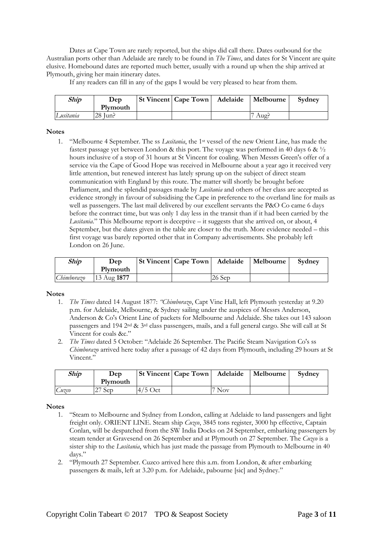Dates at Cape Town are rarely reported, but the ships did call there. Dates outbound for the Australian ports other than Adelaide are rarely to be found in *The Times*, and dates for St Vincent are quite elusive. Homebound dates are reported much better, usually with a round up when the ship arrived at Plymouth, giving her main itinerary dates.

If any readers can fill in any of the gaps I would be very pleased to hear from them.

| <b>Ship</b> | Dep      | <b>St Vincent   Cape Town   Adelaide</b> | Melbourne | Sydney |
|-------------|----------|------------------------------------------|-----------|--------|
|             | Plymouth |                                          |           |        |
| Lusitania   | 28 Jun?  |                                          | Aug:      |        |

#### **Notes**

1. "Melbourne 4 September. The ss *Lusitania*, the 1st vessel of the new Orient Line, has made the fastest passage yet between London & this port. The voyage was performed in 40 days 6 &  $\frac{1}{2}$ hours inclusive of a stop of 31 hours at St Vincent for coaling. When Messrs Green's offer of a service via the Cape of Good Hope was received in Melbourne about a year ago it received very little attention, but renewed interest has lately sprung up on the subject of direct steam communication with England by this route. The matter will shortly be brought before Parliament, and the splendid passages made by *Lusitania* and others of her class are accepted as evidence strongly in favour of subsidising the Cape in preference to the overland line for mails as well as passengers. The last mail delivered by our excellent servants the P&O Co came 6 days before the contract time, but was only 1 day less in the transit than if it had been carried by the *Lusitania*." This Melbourne report is deceptive – it suggests that she arrived on, or about, 4 September, but the dates given in the table are closer to the truth. More evidence needed – this first voyage was barely reported other that in Company advertisements. She probably left London on 26 June.

| Ship       | Dep                    |  |          | St Vincent   Cape Town   Adelaide   Melbourne | Sydney |
|------------|------------------------|--|----------|-----------------------------------------------|--------|
|            | Plymouth               |  |          |                                               |        |
| Chimborazo | $13 \text{ Aug } 1877$ |  | $26$ Sep |                                               |        |

#### **Notes**

- 1. *The Times* dated 14 August 1877: *"Chimborazo*, Capt Vine Hall, left Plymouth yesterday at 9.20 p.m. for Adelaide, Melbourne, & Sydney sailing under the auspices of Messrs Anderson, Anderson & Co's Orient Line of packets for Melbourne and Adelaide. She takes out 143 saloon passengers and 194 2nd & 3rd class passengers, mails, and a full general cargo. She will call at St Vincent for coals &c."
- 2. *The Times* dated 5 October: "Adelaide 26 September. The Pacific Steam Navigation Co's ss *Chimborazo* arrived here today after a passage of 42 days from Plymouth, including 29 hours at St Vincent."

| Ship  | Dep      |           | St Vincent   Cape Town   Adelaide   Melbourne | Sydney |
|-------|----------|-----------|-----------------------------------------------|--------|
|       | Plymouth |           |                                               |        |
| Cuzco | $27$ Sep | $4/5$ Oct | Nov <sup>-</sup>                              |        |

- 1. "Steam to Melbourne and Sydney from London, calling at Adelaide to land passengers and light freight only. ORIENT LINE. Steam ship *Cuzco*, 3845 tons register, 3000 hp effective, Captain Conlan, will be despatched from the SW India Docks on 24 September, embarking passengers by steam tender at Gravesend on 26 September and at Plymouth on 27 September. The *Cuzco* is a sister ship to the *Lusitania*, which has just made the passage from Plymouth to Melbourne in 40 days."
- 2. "Plymouth 27 September. Cuzco arrived here this a.m. from London, & after embarking passengers & mails, left at 3.20 p.m. for Adelaide, pabourne [sic] and Sydney."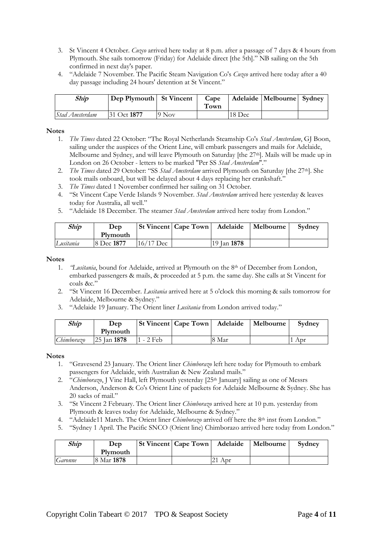- 3. St Vincent 4 October. *Cuzco* arrived here today at 8 p.m. after a passage of 7 days & 4 hours from Plymouth. She sails tomorrow (Friday) for Adelaide direct [the 5th]." NB sailing on the 5th confirmed in next day's paper.
- 4. "Adelaide 7 November. The Pacific Steam Navigation Co's *Cuzco* arrived here today after a 40 day passage including 24 hours' detention at St Vincent."

| Ship           | Dep Plymouth St Vincent |                   | Cape<br>Fown |        | Adelaide   Melbourne   Sydney |  |
|----------------|-------------------------|-------------------|--------------|--------|-------------------------------|--|
| Stad Amsterdam | 131 Oct 1877            | $9\,\mathrm{Nov}$ |              | 18 Dec |                               |  |

- 1. *The Times* dated 22 October: "The Royal Netherlands Steamship Co's *Stad Amsterdam*, GJ Boon, sailing under the auspices of the Orient Line, will embark passengers and mails for Adelaide, Melbourne and Sydney, and will leave Plymouth on Saturday [the 27<sup>th</sup>]. Mails will be made up in London on 26 October - letters to be marked "Per SS *Stad Amsterdam*"."
- 2. *The Times* dated 29 October: "SS Stad Amsterdam arrived Plymouth on Saturday [the 27<sup>th</sup>]. She took mails onboard, but will be delayed about 4 days replacing her crankshaft."
- 3. *The Times* dated 1 November confirmed her sailing on 31 October.
- 4. "St Vincent Cape Verde Islands 9 November. *Stad Amsterdam* arrived here yesterday & leaves today for Australia, all well."
- 5. "Adelaide 18 December. The steamer *Stad Amsterdam* arrived here today from London."

| Ship      | Dep        |           | <b>St Vincent   Cape Town   Adelaide   Melbourne</b> |                    | Sydney |
|-----------|------------|-----------|------------------------------------------------------|--------------------|--------|
|           | Plymouth   |           |                                                      |                    |        |
| Lusitania | 8 Dec 1877 | 16/17 Dec |                                                      | 19 Jan <b>1878</b> |        |

#### **Notes**

- 1. *"Lusitania*, bound for Adelaide, arrived at Plymouth on the 8th of December from London, embarked passengers & mails, & proceeded at 5 p.m. the same day. She calls at St Vincent for coals &c."
- 2. "St Vincent 16 December. *Lusitania* arrived here at 5 o'clock this morning & sails tomorrow for Adelaide, Melbourne & Sydney."
- 3. "Adelaide 19 January. The Orient liner *Lusitania* from London arrived today."

| <b>Ship</b> | Dep         |             | St Vincent   Cape Town   Adelaide |       | Melbourne | Sydney |
|-------------|-------------|-------------|-----------------------------------|-------|-----------|--------|
|             | Plymouth    |             |                                   |       |           |        |
| Chimborazo  | 25 Jan 1878 | $1 - 2$ Feb |                                   | 8 Mar |           | 1 Apr  |

- 1. "Gravesend 23 January. The Orient liner *Chimborazo* left here today for Plymouth to embark passengers for Adelaide, with Australian & New Zealand mails."
- 2. "Chimborazo, J Vine Hall, left Plymouth yesterday [25<sup>th</sup> January] sailing as one of Messrs Anderson, Anderson & Co's Orient Line of packets for Adelaide Melbourne & Sydney. She has 20 sacks of mail."
- 3. "St Vincent 2 February. The Orient liner *Chimborazo* arrived here at 10 p.m. yesterday from Plymouth & leaves today for Adelaide, Melbourne & Sydney."
- 4. "Adelaide11 March. The Orient liner *Chimborazo* arrived off here the 8th inst from London."
- 5. "Sydney 1 April. The Pacific SNCO (Orient line) Chimborazo arrived here today from London."

| Ship    | Dep        |  | St Vincent   Cape Town   Adelaide   Melbourne | Sydney |
|---------|------------|--|-----------------------------------------------|--------|
|         | Plymouth   |  |                                               |        |
| Garonne | 8 Mar 1878 |  | $\angle 1$ Apr                                |        |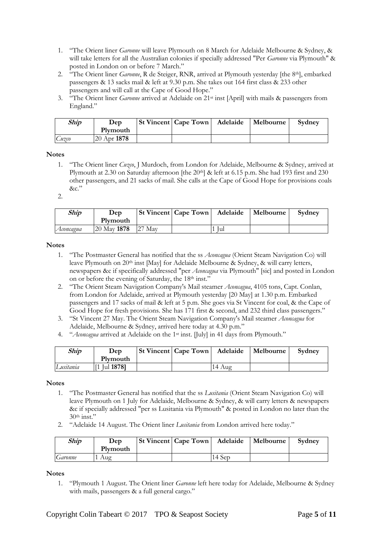- 1. "The Orient liner *Garonne* will leave Plymouth on 8 March for Adelaide Melbourne & Sydney, & will take letters for all the Australian colonies if specially addressed "Per *Garonne* via Plymouth" & posted in London on or before 7 March."
- 2. "The Orient liner *Garonne*, R de Steiger, RNR, arrived at Plymouth yesterday [the 8th], embarked passengers & 13 sacks mail & left at 9.30 p.m. She takes out 164 first class & 233 other passengers and will call at the Cape of Good Hope."
- 3. "The Orient liner *Garonne* arrived at Adelaide on 21st inst [April] with mails & passengers from England."

| Ship  | Dep             | <b>St Vincent   Cape Town   Adelaide</b> | Melbourne | Sydney |
|-------|-----------------|------------------------------------------|-----------|--------|
|       | Plymouth        |                                          |           |        |
| Cuzco | $20$ Apr $1878$ |                                          |           |        |

1. "The Orient liner *Cuzco*, J Murdoch, from London for Adelaide, Melbourne & Sydney, arrived at Plymouth at 2.30 on Saturday afternoon [the 20<sup>th</sup>] & left at 6.15 p.m. She had 193 first and 230 other passengers, and 21 sacks of mail. She calls at the Cape of Good Hope for provisions coals  $&c$ "

2.

| Ship      | Dep<br>Plymouth |     | St Vincent   Cape Town   Adelaide |     | Melbourne | Sydney |
|-----------|-----------------|-----|-----------------------------------|-----|-----------|--------|
| Aconcagua | 20 May 1878     | May |                                   | lul |           |        |

#### **Notes**

- 1. "The Postmaster General has notified that the ss *Aconcagua* (Orient Steam Navigation Co) will leave Plymouth on 20<sup>th</sup> inst [May] for Adelaide Melbourne & Sydney, & will carry letters, newspapers &c if specifically addressed "per *Aconcagua* via Plymouth" [sic] and posted in London on or before the evening of Saturday, the 18<sup>th</sup> inst."
- 2. "The Orient Steam Navigation Company's Mail steamer *Aconcagua*, 4105 tons, Capt. Conlan, from London for Adelaide, arrived at Plymouth yesterday [20 May] at 1.30 p.m. Embarked passengers and 17 sacks of mail & left at 5 p.m. She goes via St Vincent for coal, & the Cape of Good Hope for fresh provisions. She has 171 first & second, and 232 third class passengers.'
- 3. "St Vincent 27 May. The Orient Steam Navigation Company's Mail steamer *Aconcagua* for Adelaide, Melbourne & Sydney, arrived here today at 4.30 p.m."
- 4. "*Aconcagua* arrived at Adelaide on the 1st inst. [July] in 41 days from Plymouth."

| <b>Ship</b> | Dep<br>Plymouth      | <b>St Vincent   Cape Town</b> | Adelaide | Melbourne | Sydney |
|-------------|----------------------|-------------------------------|----------|-----------|--------|
| Lusitania   | [1] Jul <b>1878]</b> |                               | 14 Aug   |           |        |

**Notes**

- 1. "The Postmaster General has notified that the ss *Lusitania* (Orient Steam Navigation Co) will leave Plymouth on 1 July for Adelaide, Melbourne & Sydney, & will carry letters & newspapers &c if specially addressed "per ss Lusitania via Plymouth" & posted in London no later than the  $30<sup>th</sup>$  inst."
- 2. "Adelaide 14 August. The Orient liner *Lusitania* from London arrived here today."

| Ship    | Dep<br>Plymouth | <b>St Vincent   Cape Town   Adelaide</b> |        | Melbourne | Sydney |
|---------|-----------------|------------------------------------------|--------|-----------|--------|
| Garonne | Aug             |                                          | 14 Sep |           |        |

**Notes**

1. "Plymouth 1 August. The Orient liner *Garonne* left here today for Adelaide, Melbourne & Sydney with mails, passengers & a full general cargo."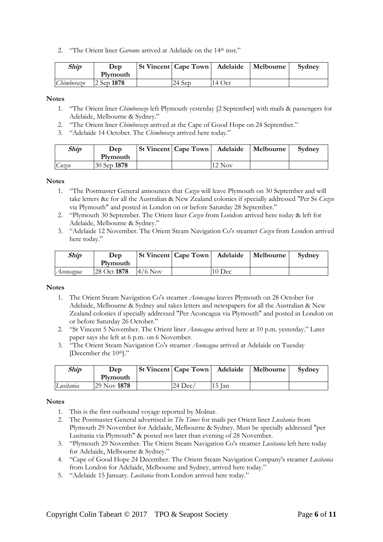2. "The Orient liner *Garonne* arrived at Adelaide on the 14<sup>th</sup> inst."

| Ship       | Dep        | St Vincent   Cape Town   Adelaide |          | Melbourne | Sydney |
|------------|------------|-----------------------------------|----------|-----------|--------|
|            | Plymouth   |                                   |          |           |        |
| Chimborazo | 2 Sep 1878 | 24 Sep                            | $14$ Oct |           |        |

#### **Notes**

- 1. "The Orient liner *Chimborazo* left Plymouth yesterday [2 September] with mails & passengers for Adelaide, Melbourne & Sydney."
- 2. "The Orient liner *Chimborazo* arrived at the Cape of Good Hope on 24 September."
- 3. "Adelaide 14 October. The *Chimborazo* arrived here today."

| Ship  | Dep         |  |          | St Vincent   Cape Town   Adelaide   Melbourne | Sydney |
|-------|-------------|--|----------|-----------------------------------------------|--------|
|       | Plymouth    |  |          |                                               |        |
| Cuzco | 30 Sep 1878 |  | $12$ Nov |                                               |        |

#### **Notes**

- 1. "The Postmaster General announces that *Cuzco* will leave Plymouth on 30 September and will take letters &c for all the Australian & New Zealand colonies if specially addressed "Per Ss *Cuzco* via Plymouth" and posted in London on or before Saturday 28 September."
- 2. "Plymouth 30 September. The Orient liner *Cuzco* from London arrived here today & left for Adelaide, Melbourne & Sydney."
- 3. "Adelaide 12 November. The Orient Steam Navigation Co's steamer *Cuzco* from London arrived here today."

| Ship      | Dep         |           | <b>St Vincent Cape Town</b> | Adelaide | Melbourne | Sydney |
|-----------|-------------|-----------|-----------------------------|----------|-----------|--------|
|           | Plymouth    |           |                             |          |           |        |
| Aconcagua | 28 Oct 1878 | $4/6$ Nov |                             | $10$ Dec |           |        |

#### **Notes**

- 1. The Orient Steam Navigation Co's steamer *Aconcagua* leaves Plymouth on 28 October for Adelaide, Melbourne & Sydney and takes letters and newspapers for all the Australian & New Zealand colonies if specially addressed "Per Aconcagua via Plymouth" and posted in London on or before Saturday 26 October."
- 2. "St Vincent 5 November. The Orient liner *Aconcagua* arrived here at 10 p.m. yesterday." Later paper says she left at 6 p.m. on 6 November.
- 3. "The Orient Steam Navigation Co's steamer *Aconcagua* arrived at Adelaide on Tuesday [December the 10<sup>th</sup>]."

| Ship      | Dep<br>Plymouth | <b>St Vincent   Cape Town</b> | Adelaide | Melbourne | Sydney |
|-----------|-----------------|-------------------------------|----------|-----------|--------|
| Lusitania | 29 Nov 1878     | $24 \text{ Dec}/$             | 15 Jan   |           |        |

- 1. This is the first outbound voyage reported by Molnar.
- 2. The Postmaster General advertised in *The Times* for mails per Orient liner *Lusitania* from Plymouth 29 November for Adelaide, Melbourne & Sydney. Must be specially addressed "per Lusitania via Plymouth" & posted not later than evening of 28 November.
- 3. "Plymouth 29 November. The Orient Steam Navigation Co's steamer *Lusitania* left here today for Adelaide, Melbourne & Sydney."
- 4. "Cape of Good Hope 24 December. The Orient Steam Navigation Company's steamer *Lusitania* from London for Adelaide, Melbourne and Sydney, arrived here today."
- 5. "Adelaide 15 January. *Lusitania* from London arrived here today."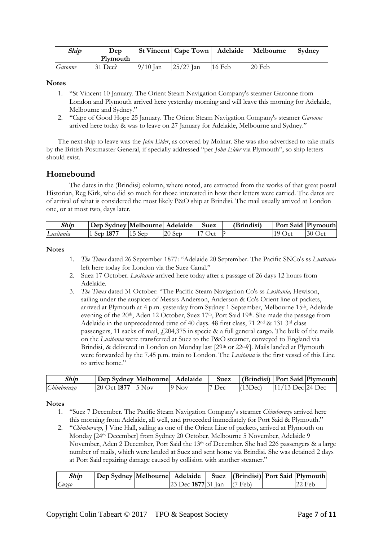| Ship    | Dep      |            | <b>St Vincent   Cape Town</b> | Adelaide | Melbourne | Sydney |
|---------|----------|------------|-------------------------------|----------|-----------|--------|
|         | Plymouth |            |                               |          |           |        |
| Garonne | 31 Dec?  | $9/10$ Jan | $25/27$ Jan                   | 16 Feb   | $20$ Feb  |        |

- 1. "St Vincent 10 January. The Orient Steam Navigation Company's steamer Garonne from London and Plymouth arrived here yesterday morning and will leave this morning for Adelaide, Melbourne and Sydney."
- 2. "Cape of Good Hope 25 January. The Orient Steam Navigation Company's steamer *Garonne* arrived here today & was to leave on 27 January for Adelaide, Melbourne and Sydney."

The next ship to leave was the *John Elder*, as covered by Molnar. She was also advertised to take mails by the British Postmaster General, if specially addressed "per *John Elder* via Plymouth", so ship letters should exist.

## **Homebound**

The dates in the (Brindisi) column, where noted, are extracted from the works of that great postal Historian, Reg Kirk, who did so much for those interested in how their letters were carried. The dates are of arrival of what is considered the most likely P&O ship at Brindisi. The mail usually arrived at London one, or at most two, days later.

| Ship      | Dep Sydney Melbournel Adelaide |            |          | Suez          | (Brindisi) | Port Said   Plymouth |          |
|-----------|--------------------------------|------------|----------|---------------|------------|----------------------|----------|
| _usıtanıa | Sep 1877                       | <b>Sep</b> | $20$ Sep | $C^{\dagger}$ |            | $19$ Oct             | $30$ Oct |

#### **Notes**

- 1. *The Times* dated 26 September 1877: "Adelaide 20 September. The Pacific SNCo's ss *Lusitania* left here today for London via the Suez Canal."
- 2. Suez 17 October. *Lusitania* arrived here today after a passage of 26 days 12 hours from Adelaide.
- 3. *The Times* dated 31 October: "The Pacific Steam Navigation Co's ss *Lusitania,* Hewison, sailing under the auspices of Messrs Anderson, Anderson & Co's Orient line of packets, arrived at Plymouth at 4 p.m. yesterday from Sydney 1 September, Melbourne 15th, Adelaide evening of the 20<sup>th</sup>, Aden 12 October, Suez 17<sup>th</sup>, Port Said 19<sup>th</sup>. She made the passage from Adelaide in the unprecedented time of 40 days. 48 first class, 71 2<sup>nd</sup> & 131 3<sup>rd</sup> class passengers, 11 sacks of mail,  $f(204,375)$  in specie & a full general cargo. The bulk of the mails on the *Lusitania* were transferred at Suez to the P&O steamer, conveyed to England via Brindisi, & delivered in London on Monday last [29th or 22nd?]. Mails landed at Plymouth were forwarded by the 7.45 p.m. train to London. The *Lusitania* is the first vessel of this Line to arrive home."

| Ship       | Dep Sydney   Melbourne    | Adelaide          | Suez | (Brindisi)   Port Said   Plymouth |                    |  |
|------------|---------------------------|-------------------|------|-----------------------------------|--------------------|--|
| Chimborazo | $20$ Oct 1877 $\,$ 15 Nov | $9\,\mathrm{Nov}$ | Dec  | (13Dec)                           | $11/13$ Dec 24 Dec |  |

- 1. "Suez 7 December. The Pacific Steam Navigation Company's steamer *Chimborazo* arrived here this morning from Adelaide, all well, and proceeded immediately for Port Said & Plymouth."
- 2. "*Chimborazo*, J Vine Hall, sailing as one of the Orient Line of packets, arrived at Plymouth on Monday [24th December] from Sydney 20 October, Melbourne 5 November, Adelaide 9 November, Aden 2 December, Port Said the 13th of December. She had 226 passengers & a large number of mails, which were landed at Suez and sent home via Brindisi. She was detained 2 days at Port Said repairing damage caused by collision with another steamer."

| Ship  | Dep Sydney   Melbourne   Adelaide   Suez   (Brindisi)   Port Said   Plymouth |                                                                       |  |           |
|-------|------------------------------------------------------------------------------|-----------------------------------------------------------------------|--|-----------|
| Cuzco |                                                                              | $\left  23 \text{ Dec } 1877 \right  31 \text{ Jan } (7 \text{ Feb})$ |  | $122$ Feb |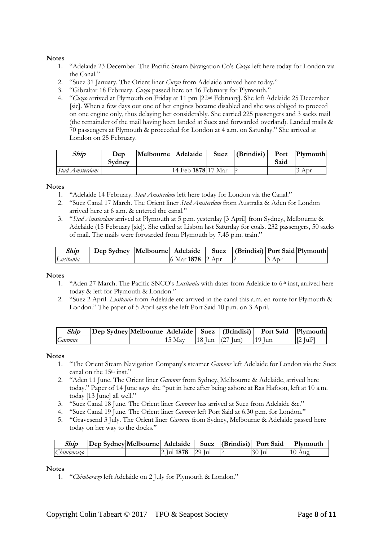- 1. "Adelaide 23 December. The Pacific Steam Navigation Co's *Cuzco* left here today for London via the Canal."
- 2. "Suez 31 January. The Orient liner *Cuzco* from Adelaide arrived here today."
- 3. "Gibraltar 18 February. *Cuzco* passed here on 16 February for Plymouth."
- 4. "*Cuzco* arrived at Plymouth on Friday at 11 pm [22nd February]. She left Adelaide 25 December [sic]. When a few days out one of her engines became disabled and she was obliged to proceed on one engine only, thus delaying her considerably. She carried 225 passengers and 3 sacks mail (the remainder of the mail having been landed at Suez and forwarded overland). Landed mails & 70 passengers at Plymouth & proceeded for London at 4 a.m. on Saturday." She arrived at London on 25 February.

| <b>Ship</b>    | Dep<br>Sydney | Melbourne Adelaide |                    | Suez $ $ (Brindisi) $ $ | Said | Port Plymouth |
|----------------|---------------|--------------------|--------------------|-------------------------|------|---------------|
| Stad Amsterdam |               |                    | 14 Feb 1878 17 Mar |                         |      | Apr           |

#### **Notes**

- 1. "Adelaide 14 February. *Stad Amsterdam* left here today for London via the Canal."
- 2. "Suez Canal 17 March. The Orient liner *Stad Amsterdam* from Australia & Aden for London arrived here at 6 a.m. & entered the canal."
- 3. "*Stad Amsterdam* arrived at Plymouth at 5 p.m. yesterday [3 April] from Sydney, Melbourne & Adelaide (15 February [sic]). She called at Lisbon last Saturday for coals. 232 passengers, 50 sacks of mail. The mails were forwarded from Plymouth by 7.45 p.m. train."

| Ship      | Dep Sydney  Melbourne   Adelaide |                  | Suez   (Brindisi)   Port Said   Plymouth |       |  |
|-----------|----------------------------------|------------------|------------------------------------------|-------|--|
| Lusitania |                                  | 6 Mar 1878 2 Apr |                                          | . Apr |  |

#### **Notes**

- 1. "Aden 27 March. The Pacific SNCO's *Lusitania* with dates from Adelaide to 6th inst, arrived here today & left for Plymouth & London."
- 2. "Suez 2 April. *Lusitania* from Adelaide etc arrived in the canal this a.m. en route for Plymouth & London." The paper of 5 April says she left Port Said 10 p.m. on 3 April.

| Ship    | Dep Sydney Melbourne  Adelaide   Suez   (Brindisi) |     |               |      | <b>Port Said</b> | Plymouth |
|---------|----------------------------------------------------|-----|---------------|------|------------------|----------|
| Garonne |                                                    | May | 18 Jun $(27)$ | lun) | 19 Iun           | ∫ul?     |

#### **Notes**

- 1. "The Orient Steam Navigation Company's steamer *Garonne* left Adelaide for London via the Suez canal on the 15<sup>th</sup> inst."
- 2. "Aden 11 June. The Orient liner *Garonne* from Sydney, Melbourne & Adelaide, arrived here today." Paper of 14 June says she "put in here after being ashore at Ras Hafoon, left at 10 a.m. today [13 June] all well."
- 3. "Suez Canal 18 June. The Orient liner *Garonne* has arrived at Suez from Adelaide &c."
- 4. "Suez Canal 19 June. The Orient liner *Garonne* left Port Said at 6.30 p.m. for London."
- 5. "Gravesend 3 July. The Orient liner *Garonne* from Sydney, Melbourne & Adelaide passed here today on her way to the docks."

| Ship       | Dep Sydney Melbourne Adelaide |                   |  | Suez (Brindisi) Port Said | Plymouth |
|------------|-------------------------------|-------------------|--|---------------------------|----------|
| Chimborazo |                               | 2 Jul 1878 29 Jul |  | .30 Jul                   | Aug      |

#### **Notes**

1. "*Chimborazo* left Adelaide on 2 July for Plymouth & London."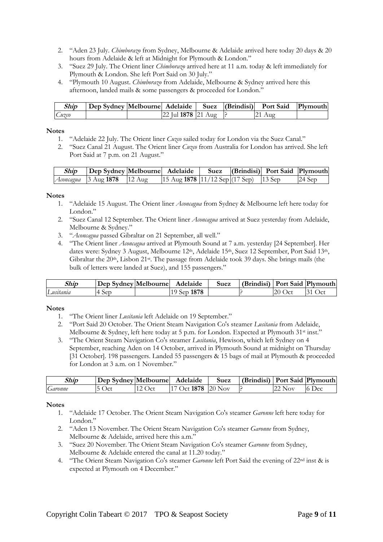- 2. "Aden 23 July. *Chimborazo* from Sydney, Melbourne & Adelaide arrived here today 20 days & 20 hours from Adelaide & left at Midnight for Plymouth & London."
- 3. "Suez 29 July. The Orient liner *Chimborazo* arrived here at 11 a.m. today & left immediately for Plymouth & London. She left Port Said on 30 July."
- 4. "Plymouth 10 August. *Chimborazo* from Adelaide, Melbourne & Sydney arrived here this afternoon, landed mails & some passengers & proceeded for London."

| Ship  | Dep Sydney Melbourne Adelaide   Suez   (Brindisi) |                        |  | Port Said | Plymouth |
|-------|---------------------------------------------------|------------------------|--|-----------|----------|
| Cuzco |                                                   | $22$ Jul 1878 $21$ Aug |  | -21 Aug   |          |

- 1. "Adelaide 22 July. The Orient liner *Cuzco* sailed today for London via the Suez Canal."
- 2. "Suez Canal 21 August. The Orient liner *Cuzco* from Australia for London has arrived. She left Port Said at 7 p.m. on 21 August."

| Ship | Dep Sydney Melbourne Adelaide      |                                                                                                                                         |  | Suez (Brindisi) Port Said Plymouth |          |
|------|------------------------------------|-----------------------------------------------------------------------------------------------------------------------------------------|--|------------------------------------|----------|
|      | <i>Aconcagua</i> 3 Aug 1878 12 Aug | $\left  \frac{15 \text{ Aug } 1878}{11/12 \text{ Sep}} \right  (17 \text{ Sep})$ $\left  \frac{13 \text{ Sep}}{13 \text{ Sep}} \right $ |  |                                    | $24$ Sep |

#### **Notes**

- 1. "Adelaide 15 August. The Orient liner *Aconcagua* from Sydney & Melbourne left here today for London."
- 2. "Suez Canal 12 September. The Orient liner *Aconcagua* arrived at Suez yesterday from Adelaide, Melbourne & Sydney."
- 3. "*Aconcagua* passed Gibraltar on 21 September, all well."
- 4. "The Orient liner *Aconcagua* arrived at Plymouth Sound at 7 a.m. yesterday [24 September]. Her dates were: Sydney 3 August, Melbourne 12<sup>th</sup>, Adelaide 15<sup>th</sup>, Suez 12 September, Port Said 13<sup>th</sup>, Gibraltar the 20<sup>th</sup>, Lisbon 21<sup>st</sup>. The passage from Adelaide took 39 days. She brings mails (the bulk of letters were landed at Suez), and 155 passengers."

| Ship      | Dep Sydney Melbourne | Adelaide | Suez | (Brindisi)   Port Said   Plymouth |                  |       |
|-----------|----------------------|----------|------|-----------------------------------|------------------|-------|
| Lusitania | <b>Sep</b>           | Sep 1878 |      |                                   | <b>20</b><br>Oci | . Jct |

#### **Notes**

- 1. "The Orient liner *Lusitania* left Adelaide on 19 September."
- 2. "Port Said 20 October. The Orient Steam Navigation Co's steamer *Lusitania* from Adelaide, Melbourne & Sydney, left here today at 5 p.m. for London. Expected at Plymouth 31<sup>st</sup> inst."
- 3. "The Orient Steam Navigation Co's steamer *Lusitania*, Hewison, which left Sydney on 4 September, reaching Aden on 14 October, arrived in Plymouth Sound at midnight on Thursday [31 October]. 198 passengers. Landed 55 passengers & 15 bags of mail at Plymouth & proceeded for London at 3 a.m. on 1 November."

| Ship    | Dep Sydney Melbourne |                | Adelaide                            | Suez | (Brindisi)   Port Said   Plymouth |     |           |
|---------|----------------------|----------------|-------------------------------------|------|-----------------------------------|-----|-----------|
| Garonne | Oct                  | C <sub>1</sub> | $\frac{7 \text{ Oct}}{1878}$ 20 Nov |      |                                   | Nov | Dec<br>10 |

- 1. "Adelaide 17 October. The Orient Steam Navigation Co's steamer *Garonne* left here today for London."
- 2. "Aden 13 November. The Orient Steam Navigation Co's steamer *Garonne* from Sydney, Melbourne & Adelaide, arrived here this a.m."
- 3. "Suez 20 November. The Orient Steam Navigation Co's steamer *Garonne* from Sydney, Melbourne & Adelaide entered the canal at 11.20 today."
- 4. "The Orient Steam Navigation Co's steamer *Garonne* left Port Said the evening of 22nd inst & is expected at Plymouth on 4 December."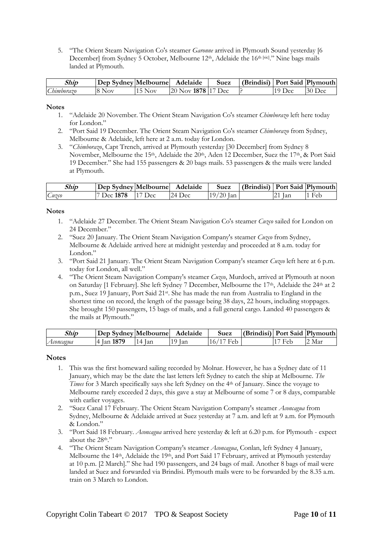5. "The Orient Steam Navigation Co's steamer *Garonne* arrived in Plymouth Sound yesterday [6 December] from Sydney 5 October, Melbourne 12<sup>th</sup>, Adelaide the 16<sup>th [sic]</sup>." Nine bags mails landed at Plymouth.

| Ship       | Dep Sydney Melbourne |          | Adelaide            | Suez | (Brindisi)   Port Said   Plymouth |          |          |
|------------|----------------------|----------|---------------------|------|-----------------------------------|----------|----------|
| Chimborazo | $18$ Nov             | $15$ Nov | 20 Nov 1878 117 Dec |      |                                   | $19$ Dec | $30$ Dec |

#### **Notes**

- 1. "Adelaide 20 November. The Orient Steam Navigation Co's steamer *Chimborazo* left here today for London."
- 2. "Port Said 19 December. The Orient Steam Navigation Co's steamer *Chimborazo* from Sydney, Melbourne & Adelaide, left here at 2 a.m. today for London.
- 3. "*Chimborazo*, Capt Trench, arrived at Plymouth yesterday [30 December] from Sydney 8 November, Melbourne the 15<sup>th</sup>, Adelaide the 20<sup>th</sup>, Aden 12 December, Suez the 17<sup>th</sup>, & Port Said 19 December." She had 155 passengers & 20 bags mails. 53 passengers & the mails were landed at Plymouth.

| Ship | Dep Sydney Melbourne |          | Adelaide | Suez        | (Brindisi)   Port Said   Plymouth |          |     |
|------|----------------------|----------|----------|-------------|-----------------------------------|----------|-----|
| Uzco | Dec 1878             | $17$ Dec | 24 Dec   | $19/20$ Jan |                                   | $21$ Jan | Feb |

#### **Notes**

- 1. "Adelaide 27 December. The Orient Steam Navigation Co's steamer *Cuzco* sailed for London on 24 December."
- 2. "Suez 20 January. The Orient Steam Navigation Company's steamer *Cuzco* from Sydney, Melbourne & Adelaide arrived here at midnight yesterday and proceeded at 8 a.m. today for London."
- 3. "Port Said 21 January. The Orient Steam Navigation Company's steamer *Cuzco* left here at 6 p.m. today for London, all well."
- 4. "The Orient Steam Navigation Company's steamer *Cuzco*, Murdoch, arrived at Plymouth at noon on Saturday [1 February]. She left Sydney 7 December, Melbourne the 17th, Adelaide the 24th at 2 p.m., Suez 19 January, Port Said 21st. She has made the run from Australia to England in the shortest time on record, the length of the passage being 38 days, 22 hours, including stoppages. She brought 150 passengers, 15 bags of mails, and a full general cargo. Landed 40 passengers & the mails at Plymouth."

| Ship      | Dep Sydney Melbourne |     | Adelaide | Suez            | (Brindisi) Port Said   Plymouth |          |
|-----------|----------------------|-----|----------|-----------------|---------------------------------|----------|
| Aconcagua | <b>Jan 1879</b>      | lan | lan      | Heh<br>$\Omega$ | Feb                             | Mar<br>ے |

- 1. This was the first homeward sailing recorded by Molnar. However, he has a Sydney date of 11 January, which may be the date the last letters left Sydney to catch the ship at Melbourne. *The Times* for 3 March specifically says she left Sydney on the 4th of January. Since the voyage to Melbourne rarely exceeded 2 days, this gave a stay at Melbourne of some 7 or 8 days, comparable with earlier voyages.
- 2. "Suez Canal 17 February. The Orient Steam Navigation Company's steamer *Aconcagua* from Sydney, Melbourne & Adelaide arrived at Suez yesterday at 7 a.m. and left at 9 a.m. for Plymouth & London."
- 3. "Port Said 18 February. *Aconcagua* arrived here yesterday & left at 6.20 p.m. for Plymouth expect about the 28<sup>th</sup>."
- 4. "The Orient Steam Navigation Company's steamer *Aconcagua*, Conlan, left Sydney 4 January, Melbourne the 14<sup>th</sup>, Adelaide the 19<sup>th</sup>, and Port Said 17 February, arrived at Plymouth yesterday at 10 p.m. [2 March]." She had 190 passengers, and 24 bags of mail. Another 8 bags of mail were landed at Suez and forwarded via Brindisi. Plymouth mails were to be forwarded by the 8.35 a.m. train on 3 March to London.